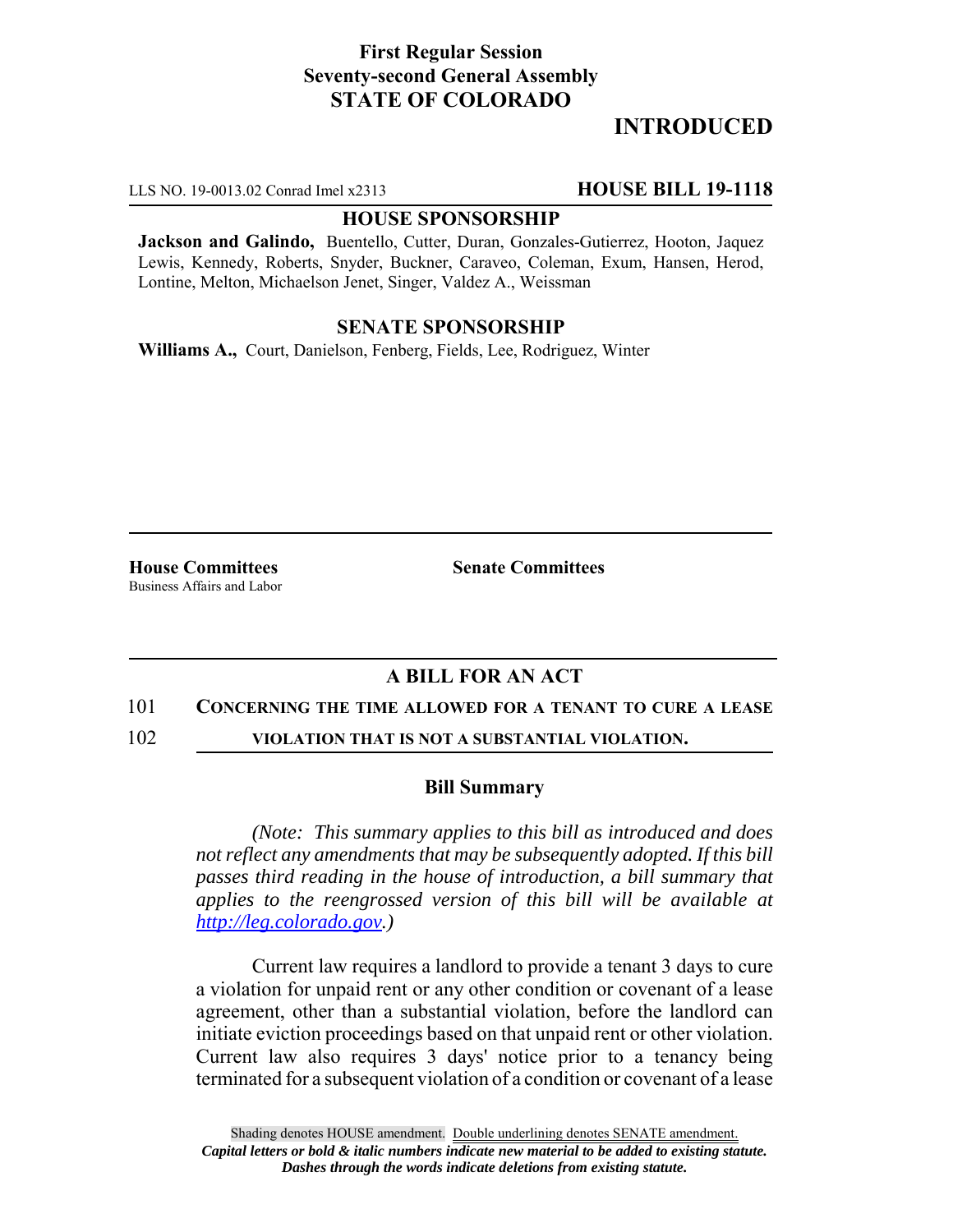## **First Regular Session Seventy-second General Assembly STATE OF COLORADO**

# **INTRODUCED**

LLS NO. 19-0013.02 Conrad Imel x2313 **HOUSE BILL 19-1118**

### **HOUSE SPONSORSHIP**

**Jackson and Galindo,** Buentello, Cutter, Duran, Gonzales-Gutierrez, Hooton, Jaquez Lewis, Kennedy, Roberts, Snyder, Buckner, Caraveo, Coleman, Exum, Hansen, Herod, Lontine, Melton, Michaelson Jenet, Singer, Valdez A., Weissman

## **SENATE SPONSORSHIP**

**Williams A.,** Court, Danielson, Fenberg, Fields, Lee, Rodriguez, Winter

**House Committees Senate Committees** Business Affairs and Labor

# **A BILL FOR AN ACT**

#### 101 **CONCERNING THE TIME ALLOWED FOR A TENANT TO CURE A LEASE**

102 **VIOLATION THAT IS NOT A SUBSTANTIAL VIOLATION.**

## **Bill Summary**

*(Note: This summary applies to this bill as introduced and does not reflect any amendments that may be subsequently adopted. If this bill passes third reading in the house of introduction, a bill summary that applies to the reengrossed version of this bill will be available at http://leg.colorado.gov.)*

Current law requires a landlord to provide a tenant 3 days to cure a violation for unpaid rent or any other condition or covenant of a lease agreement, other than a substantial violation, before the landlord can initiate eviction proceedings based on that unpaid rent or other violation. Current law also requires 3 days' notice prior to a tenancy being terminated for a subsequent violation of a condition or covenant of a lease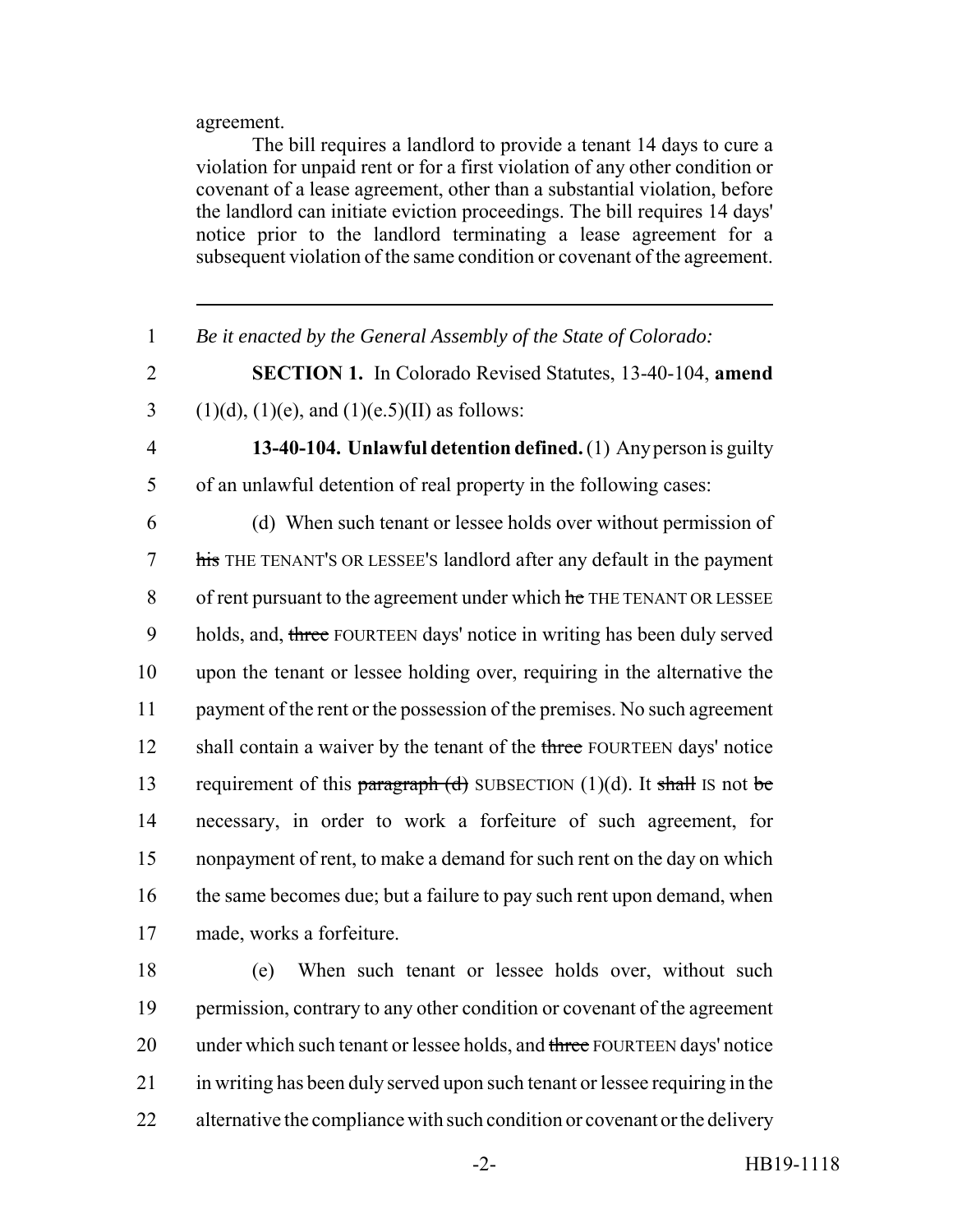agreement.

The bill requires a landlord to provide a tenant 14 days to cure a violation for unpaid rent or for a first violation of any other condition or covenant of a lease agreement, other than a substantial violation, before the landlord can initiate eviction proceedings. The bill requires 14 days' notice prior to the landlord terminating a lease agreement for a subsequent violation of the same condition or covenant of the agreement.

- 1 *Be it enacted by the General Assembly of the State of Colorado:*
- 2 **SECTION 1.** In Colorado Revised Statutes, 13-40-104, **amend** 3 (1)(d), (1)(e), and (1)(e.5)(II) as follows:
- 

4 **13-40-104. Unlawful detention defined.** (1) Any person is guilty 5 of an unlawful detention of real property in the following cases:

6 (d) When such tenant or lessee holds over without permission of 7 his THE TENANT'S OR LESSEE'S landlord after any default in the payment 8 of rent pursuant to the agreement under which he THE TENANT OR LESSEE 9 holds, and, three FOURTEEN days' notice in writing has been duly served 10 upon the tenant or lessee holding over, requiring in the alternative the 11 payment of the rent or the possession of the premises. No such agreement 12 shall contain a waiver by the tenant of the three FOURTEEN days' notice 13 requirement of this paragraph  $(d)$  SUBSECTION (1)(d). It shall IS not be 14 necessary, in order to work a forfeiture of such agreement, for 15 nonpayment of rent, to make a demand for such rent on the day on which 16 the same becomes due; but a failure to pay such rent upon demand, when 17 made, works a forfeiture.

18 (e) When such tenant or lessee holds over, without such 19 permission, contrary to any other condition or covenant of the agreement 20 under which such tenant or lessee holds, and three FOURTEEN days' notice 21 in writing has been duly served upon such tenant or lessee requiring in the 22 alternative the compliance with such condition or covenant or the delivery